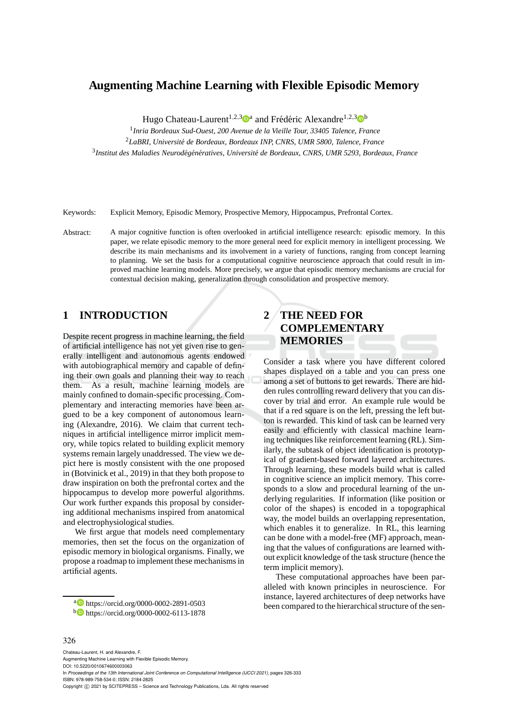# **Augmenting Machine Learning with Flexible Episodic Memory**

Hugo Chateau-Laurent<sup>1,2,3</sup> <sup>a</sup> and Frédéric Alexandre<sup>1,2,3</sup> b

1 *Inria Bordeaux Sud-Ouest, 200 Avenue de la Vieille Tour, 33405 Talence, France* <sup>2</sup>*LaBRI, Universit´e de Bordeaux, Bordeaux INP, CNRS, UMR 5800, Talence, France* <sup>3</sup> Institut des Maladies Neurodégénératives, Université de Bordeaux, CNRS, UMR 5293, Bordeaux, France

Keywords: Explicit Memory, Episodic Memory, Prospective Memory, Hippocampus, Prefrontal Cortex.

Abstract: A major cognitive function is often overlooked in artificial intelligence research: episodic memory. In this paper, we relate episodic memory to the more general need for explicit memory in intelligent processing. We describe its main mechanisms and its involvement in a variety of functions, ranging from concept learning to planning. We set the basis for a computational cognitive neuroscience approach that could result in improved machine learning models. More precisely, we argue that episodic memory mechanisms are crucial for contextual decision making, generalization through consolidation and prospective memory.

## **1 INTRODUCTION**

Despite recent progress in machine learning, the field of artificial intelligence has not yet given rise to generally intelligent and autonomous agents endowed with autobiographical memory and capable of defining their own goals and planning their way to reach them. As a result, machine learning models are mainly confined to domain-specific processing. Complementary and interacting memories have been argued to be a key component of autonomous learning (Alexandre, 2016). We claim that current techniques in artificial intelligence mirror implicit memory, while topics related to building explicit memory systems remain largely unaddressed. The view we depict here is mostly consistent with the one proposed in (Botvinick et al., 2019) in that they both propose to draw inspiration on both the prefrontal cortex and the hippocampus to develop more powerful algorithms. Our work further expands this proposal by considering additional mechanisms inspired from anatomical and electrophysiological studies.

We first argue that models need complementary memories, then set the focus on the organization of episodic memory in biological organisms. Finally, we propose a roadmap to implement these mechanisms in artificial agents.

<sup>a</sup> https://orcid.org/0000-0002-2891-0503 <sup>b</sup> https://orcid.org/0000-0002-6113-1878

# **2 THE NEED FOR COMPLEMENTARY MEMORIES**

Consider a task where you have different colored shapes displayed on a table and you can press one among a set of buttons to get rewards. There are hidden rules controlling reward delivery that you can discover by trial and error. An example rule would be that if a red square is on the left, pressing the left button is rewarded. This kind of task can be learned very easily and efficiently with classical machine learning techniques like reinforcement learning (RL). Similarly, the subtask of object identification is prototypical of gradient-based forward layered architectures. Through learning, these models build what is called in cognitive science an implicit memory. This corresponds to a slow and procedural learning of the underlying regularities. If information (like position or color of the shapes) is encoded in a topographical way, the model builds an overlapping representation, which enables it to generalize. In RL, this learning can be done with a model-free (MF) approach, meaning that the values of configurations are learned without explicit knowledge of the task structure (hence the term implicit memory).

These computational approaches have been paralleled with known principles in neuroscience. For instance, layered architectures of deep networks have been compared to the hierarchical structure of the sen-

#### 326

Chateau-Laurent, H. and Alexandre, F. Augmenting Machine Learning with Flexible Episodic Memory. DOI: 10.5220/0010674600003063 In *Proceedings of the 13th International Joint Conference on Computational Intelligence (IJCCI 2021)*, pages 326-333 ISBN: 978-989-758-534-0; ISSN: 2184-2825 Copyright (C) 2021 by SCITEPRESS - Science and Technology Publications, Lda. All rights reserved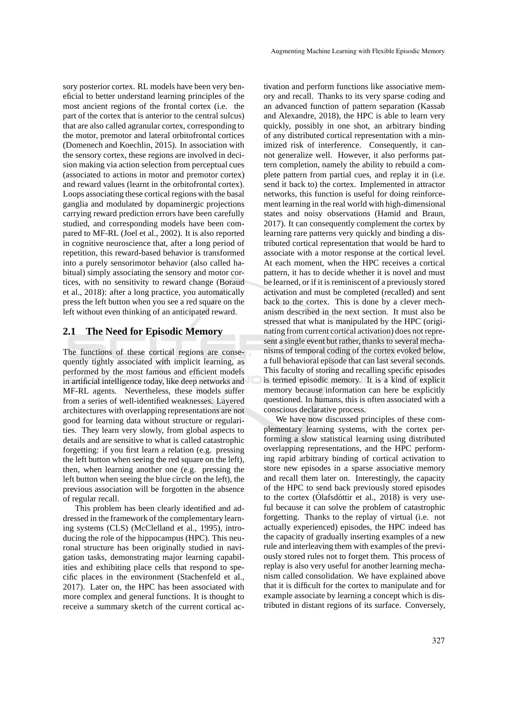sory posterior cortex. RL models have been very beneficial to better understand learning principles of the most ancient regions of the frontal cortex (i.e. the part of the cortex that is anterior to the central sulcus) that are also called agranular cortex, corresponding to the motor, premotor and lateral orbitofrontal cortices (Domenech and Koechlin, 2015). In association with the sensory cortex, these regions are involved in decision making via action selection from perceptual cues (associated to actions in motor and premotor cortex) and reward values (learnt in the orbitofrontal cortex). Loops associating these cortical regions with the basal ganglia and modulated by dopaminergic projections carrying reward prediction errors have been carefully studied, and corresponding models have been compared to MF-RL (Joel et al., 2002). It is also reported in cognitive neuroscience that, after a long period of repetition, this reward-based behavior is transformed into a purely sensorimotor behavior (also called habitual) simply associating the sensory and motor cortices, with no sensitivity to reward change (Boraud et al., 2018): after a long practice, you automatically press the left button when you see a red square on the left without even thinking of an anticipated reward.

### **2.1 The Need for Episodic Memory**

The functions of these cortical regions are consequently tightly associated with implicit learning, as performed by the most famous and efficient models in artificial intelligence today, like deep networks and MF-RL agents. Nevertheless, these models suffer from a series of well-identified weaknesses. Layered architectures with overlapping representations are not good for learning data without structure or regularities. They learn very slowly, from global aspects to details and are sensitive to what is called catastrophic forgetting: if you first learn a relation (e.g. pressing the left button when seeing the red square on the left), then, when learning another one (e.g. pressing the left button when seeing the blue circle on the left), the previous association will be forgotten in the absence of regular recall.

This problem has been clearly identified and addressed in the framework of the complementary learning systems (CLS) (McClelland et al., 1995), introducing the role of the hippocampus (HPC). This neuronal structure has been originally studied in navigation tasks, demonstrating major learning capabilities and exhibiting place cells that respond to specific places in the environment (Stachenfeld et al., 2017). Later on, the HPC has been associated with more complex and general functions. It is thought to receive a summary sketch of the current cortical ac-

tivation and perform functions like associative memory and recall. Thanks to its very sparse coding and an advanced function of pattern separation (Kassab and Alexandre, 2018), the HPC is able to learn very quickly, possibly in one shot, an arbitrary binding of any distributed cortical representation with a minimized risk of interference. Consequently, it cannot generalize well. However, it also performs pattern completion, namely the ability to rebuild a complete pattern from partial cues, and replay it in (i.e. send it back to) the cortex. Implemented in attractor networks, this function is useful for doing reinforcement learning in the real world with high-dimensional states and noisy observations (Hamid and Braun, 2017). It can consequently complement the cortex by learning rare patterns very quickly and binding a distributed cortical representation that would be hard to associate with a motor response at the cortical level. At each moment, when the HPC receives a cortical pattern, it has to decide whether it is novel and must be learned, or if it is reminiscent of a previously stored activation and must be completed (recalled) and sent back to the cortex. This is done by a clever mechanism described in the next section. It must also be stressed that what is manipulated by the HPC (originating from current cortical activation) does not represent a single event but rather, thanks to several mechanisms of temporal coding of the cortex evoked below, a full behavioral episode that can last several seconds. This faculty of storing and recalling specific episodes is termed episodic memory. It is a kind of explicit memory because information can here be explicitly questioned. In humans, this is often associated with a conscious declarative process.

We have now discussed principles of these complementary learning systems, with the cortex performing a slow statistical learning using distributed overlapping representations, and the HPC performing rapid arbitrary binding of cortical activation to store new episodes in a sparse associative memory and recall them later on. Interestingly, the capacity of the HPC to send back previously stored episodes to the cortex (Olafsdóttir et al., 2018) is very useful because it can solve the problem of catastrophic forgetting. Thanks to the replay of virtual (i.e. not actually experienced) episodes, the HPC indeed has the capacity of gradually inserting examples of a new rule and interleaving them with examples of the previously stored rules not to forget them. This process of replay is also very useful for another learning mechanism called consolidation. We have explained above that it is difficult for the cortex to manipulate and for example associate by learning a concept which is distributed in distant regions of its surface. Conversely,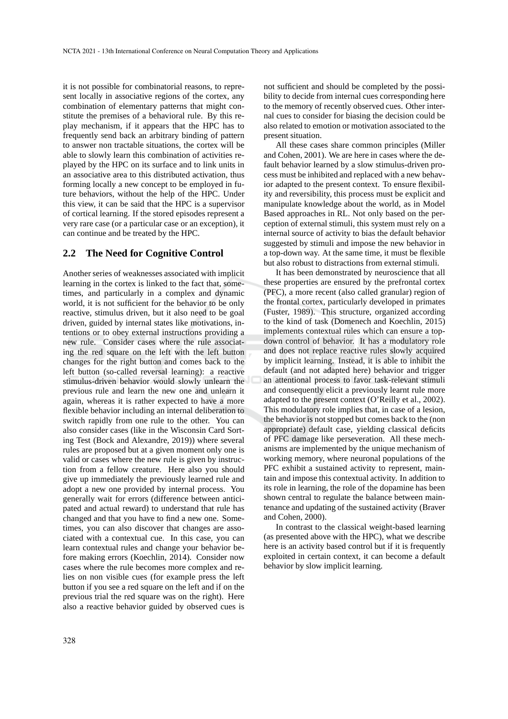it is not possible for combinatorial reasons, to represent locally in associative regions of the cortex, any combination of elementary patterns that might constitute the premises of a behavioral rule. By this replay mechanism, if it appears that the HPC has to frequently send back an arbitrary binding of pattern to answer non tractable situations, the cortex will be able to slowly learn this combination of activities replayed by the HPC on its surface and to link units in an associative area to this distributed activation, thus forming locally a new concept to be employed in future behaviors, without the help of the HPC. Under this view, it can be said that the HPC is a supervisor of cortical learning. If the stored episodes represent a very rare case (or a particular case or an exception), it can continue and be treated by the HPC.

#### **2.2 The Need for Cognitive Control**

Another series of weaknesses associated with implicit learning in the cortex is linked to the fact that, sometimes, and particularly in a complex and dynamic world, it is not sufficient for the behavior to be only reactive, stimulus driven, but it also need to be goal driven, guided by internal states like motivations, intentions or to obey external instructions providing a new rule. Consider cases where the rule associating the red square on the left with the left button changes for the right button and comes back to the left button (so-called reversal learning): a reactive stimulus-driven behavior would slowly unlearn the previous rule and learn the new one and unlearn it again, whereas it is rather expected to have a more flexible behavior including an internal deliberation to switch rapidly from one rule to the other. You can also consider cases (like in the Wisconsin Card Sorting Test (Bock and Alexandre, 2019)) where several rules are proposed but at a given moment only one is valid or cases where the new rule is given by instruction from a fellow creature. Here also you should give up immediately the previously learned rule and adopt a new one provided by internal process. You generally wait for errors (difference between anticipated and actual reward) to understand that rule has changed and that you have to find a new one. Sometimes, you can also discover that changes are associated with a contextual cue. In this case, you can learn contextual rules and change your behavior before making errors (Koechlin, 2014). Consider now cases where the rule becomes more complex and relies on non visible cues (for example press the left button if you see a red square on the left and if on the previous trial the red square was on the right). Here also a reactive behavior guided by observed cues is

not sufficient and should be completed by the possibility to decide from internal cues corresponding here to the memory of recently observed cues. Other internal cues to consider for biasing the decision could be also related to emotion or motivation associated to the present situation.

All these cases share common principles (Miller and Cohen, 2001). We are here in cases where the default behavior learned by a slow stimulus-driven process must be inhibited and replaced with a new behavior adapted to the present context. To ensure flexibility and reversibility, this process must be explicit and manipulate knowledge about the world, as in Model Based approaches in RL. Not only based on the perception of external stimuli, this system must rely on a internal source of activity to bias the default behavior suggested by stimuli and impose the new behavior in a top-down way. At the same time, it must be flexible but also robust to distractions from external stimuli.

It has been demonstrated by neuroscience that all these properties are ensured by the prefrontal cortex (PFC), a more recent (also called granular) region of the frontal cortex, particularly developed in primates (Fuster, 1989). This structure, organized according to the kind of task (Domenech and Koechlin, 2015) implements contextual rules which can ensure a topdown control of behavior. It has a modulatory role and does not replace reactive rules slowly acquired by implicit learning. Instead, it is able to inhibit the default (and not adapted here) behavior and trigger an attentional process to favor task-relevant stimuli and consequently elicit a previously learnt rule more adapted to the present context (O'Reilly et al., 2002). This modulatory role implies that, in case of a lesion, the behavior is not stopped but comes back to the (non appropriate) default case, yielding classical deficits of PFC damage like perseveration. All these mechanisms are implemented by the unique mechanism of working memory, where neuronal populations of the PFC exhibit a sustained activity to represent, maintain and impose this contextual activity. In addition to its role in learning, the role of the dopamine has been shown central to regulate the balance between maintenance and updating of the sustained activity (Braver and Cohen, 2000).

In contrast to the classical weight-based learning (as presented above with the HPC), what we describe here is an activity based control but if it is frequently exploited in certain context, it can become a default behavior by slow implicit learning.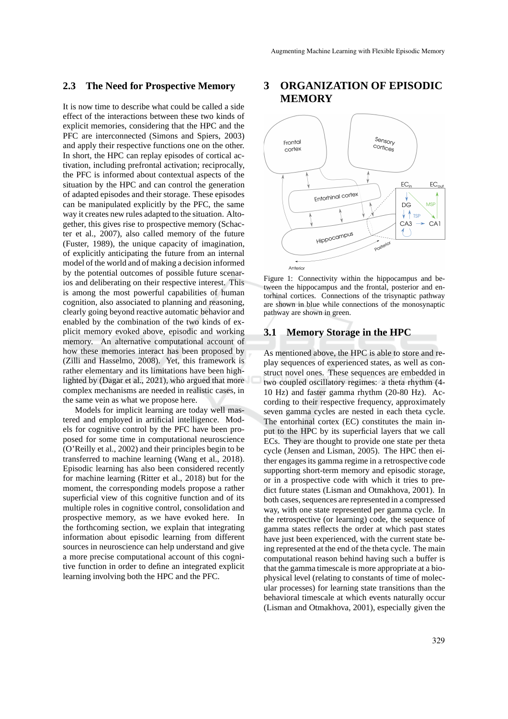#### **2.3 The Need for Prospective Memory**

It is now time to describe what could be called a side effect of the interactions between these two kinds of explicit memories, considering that the HPC and the PFC are interconnected (Simons and Spiers, 2003) and apply their respective functions one on the other. In short, the HPC can replay episodes of cortical activation, including prefrontal activation; reciprocally, the PFC is informed about contextual aspects of the situation by the HPC and can control the generation of adapted episodes and their storage. These episodes can be manipulated explicitly by the PFC, the same way it creates new rules adapted to the situation. Altogether, this gives rise to prospective memory (Schacter et al., 2007), also called memory of the future (Fuster, 1989), the unique capacity of imagination, of explicitly anticipating the future from an internal model of the world and of making a decision informed by the potential outcomes of possible future scenarios and deliberating on their respective interest. This is among the most powerful capabilities of human cognition, also associated to planning and reasoning, clearly going beyond reactive automatic behavior and enabled by the combination of the two kinds of explicit memory evoked above, episodic and working memory. An alternative computational account of how these memories interact has been proposed by (Zilli and Hasselmo, 2008). Yet, this framework is rather elementary and its limitations have been highlighted by (Dagar et al., 2021), who argued that more complex mechanisms are needed in realistic cases, in the same vein as what we propose here.

Models for implicit learning are today well mastered and employed in artificial intelligence. Models for cognitive control by the PFC have been proposed for some time in computational neuroscience (O'Reilly et al., 2002) and their principles begin to be transferred to machine learning (Wang et al., 2018). Episodic learning has also been considered recently for machine learning (Ritter et al., 2018) but for the moment, the corresponding models propose a rather superficial view of this cognitive function and of its multiple roles in cognitive control, consolidation and prospective memory, as we have evoked here. In the forthcoming section, we explain that integrating information about episodic learning from different sources in neuroscience can help understand and give a more precise computational account of this cognitive function in order to define an integrated explicit learning involving both the HPC and the PFC.

## **3 ORGANIZATION OF EPISODIC MEMORY**



Figure 1: Connectivity within the hippocampus and between the hippocampus and the frontal, posterior and entorhinal cortices. Connections of the trisynaptic pathway are shown in blue while connections of the monosynaptic pathway are shown in green.

#### **3.1 Memory Storage in the HPC**

As mentioned above, the HPC is able to store and replay sequences of experienced states, as well as construct novel ones. These sequences are embedded in two coupled oscillatory regimes: a theta rhythm (4- 10 Hz) and faster gamma rhythm (20-80 Hz). According to their respective frequency, approximately seven gamma cycles are nested in each theta cycle. The entorhinal cortex (EC) constitutes the main input to the HPC by its superficial layers that we call ECs. They are thought to provide one state per theta cycle (Jensen and Lisman, 2005). The HPC then either engages its gamma regime in a retrospective code supporting short-term memory and episodic storage, or in a prospective code with which it tries to predict future states (Lisman and Otmakhova, 2001). In both cases, sequences are represented in a compressed way, with one state represented per gamma cycle. In the retrospective (or learning) code, the sequence of gamma states reflects the order at which past states have just been experienced, with the current state being represented at the end of the theta cycle. The main computational reason behind having such a buffer is that the gamma timescale is more appropriate at a biophysical level (relating to constants of time of molecular processes) for learning state transitions than the behavioral timescale at which events naturally occur (Lisman and Otmakhova, 2001), especially given the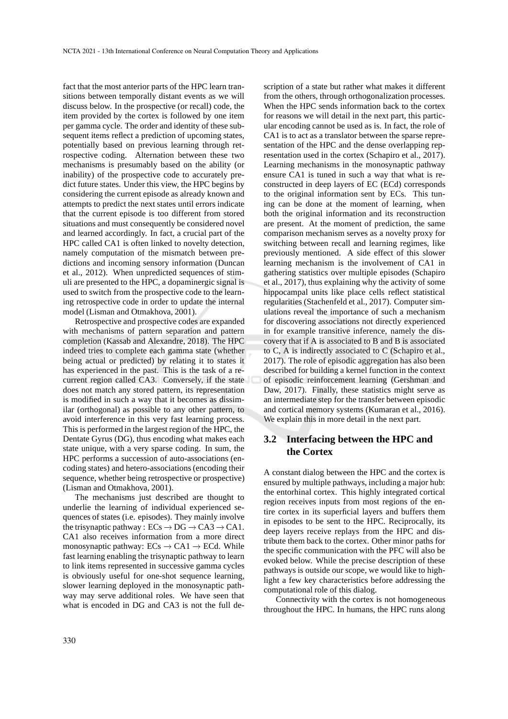fact that the most anterior parts of the HPC learn transitions between temporally distant events as we will discuss below. In the prospective (or recall) code, the item provided by the cortex is followed by one item per gamma cycle. The order and identity of these subsequent items reflect a prediction of upcoming states, potentially based on previous learning through retrospective coding. Alternation between these two mechanisms is presumably based on the ability (or inability) of the prospective code to accurately predict future states. Under this view, the HPC begins by considering the current episode as already known and attempts to predict the next states until errors indicate that the current episode is too different from stored situations and must consequently be considered novel and learned accordingly. In fact, a crucial part of the HPC called CA1 is often linked to novelty detection, namely computation of the mismatch between predictions and incoming sensory information (Duncan et al., 2012). When unpredicted sequences of stimuli are presented to the HPC, a dopaminergic signal is used to switch from the prospective code to the learning retrospective code in order to update the internal model (Lisman and Otmakhova, 2001).

Retrospective and prospective codes are expanded with mechanisms of pattern separation and pattern completion (Kassab and Alexandre, 2018). The HPC indeed tries to complete each gamma state (whether being actual or predicted) by relating it to states it has experienced in the past. This is the task of a recurrent region called CA3. Conversely, if the state does not match any stored pattern, its representation is modified in such a way that it becomes as dissimilar (orthogonal) as possible to any other pattern, to avoid interference in this very fast learning process. This is performed in the largest region of the HPC, the Dentate Gyrus (DG), thus encoding what makes each state unique, with a very sparse coding. In sum, the HPC performs a succession of auto-associations (encoding states) and hetero-associations (encoding their sequence, whether being retrospective or prospective) (Lisman and Otmakhova, 2001).

The mechanisms just described are thought to underlie the learning of individual experienced sequences of states (i.e. episodes). They mainly involve the trisynaptic pathway :  $ECs \rightarrow DG \rightarrow CA3 \rightarrow CA1$ . CA1 also receives information from a more direct monosynaptic pathway:  $ECs \rightarrow CA1 \rightarrow ECd$ . While fast learning enabling the trisynaptic pathway to learn to link items represented in successive gamma cycles is obviously useful for one-shot sequence learning, slower learning deployed in the monosynaptic pathway may serve additional roles. We have seen that what is encoded in DG and CA3 is not the full de-

scription of a state but rather what makes it different from the others, through orthogonalization processes. When the HPC sends information back to the cortex for reasons we will detail in the next part, this particular encoding cannot be used as is. In fact, the role of CA1 is to act as a translator between the sparse representation of the HPC and the dense overlapping representation used in the cortex (Schapiro et al., 2017). Learning mechanisms in the monosynaptic pathway ensure CA1 is tuned in such a way that what is reconstructed in deep layers of EC (ECd) corresponds to the original information sent by ECs. This tuning can be done at the moment of learning, when both the original information and its reconstruction are present. At the moment of prediction, the same comparison mechanism serves as a novelty proxy for switching between recall and learning regimes, like previously mentioned. A side effect of this slower learning mechanism is the involvement of CA1 in gathering statistics over multiple episodes (Schapiro et al., 2017), thus explaining why the activity of some hippocampal units like place cells reflect statistical regularities (Stachenfeld et al., 2017). Computer simulations reveal the importance of such a mechanism for discovering associations not directly experienced in for example transitive inference, namely the discovery that if A is associated to B and B is associated to C, A is indirectly associated to C (Schapiro et al., 2017). The role of episodic aggregation has also been described for building a kernel function in the context of episodic reinforcement learning (Gershman and Daw, 2017). Finally, these statistics might serve as an intermediate step for the transfer between episodic and cortical memory systems (Kumaran et al., 2016). We explain this in more detail in the next part.

### **3.2 Interfacing between the HPC and the Cortex**

A constant dialog between the HPC and the cortex is ensured by multiple pathways, including a major hub: the entorhinal cortex. This highly integrated cortical region receives inputs from most regions of the entire cortex in its superficial layers and buffers them in episodes to be sent to the HPC. Reciprocally, its deep layers receive replays from the HPC and distribute them back to the cortex. Other minor paths for the specific communication with the PFC will also be evoked below. While the precise description of these pathways is outside our scope, we would like to highlight a few key characteristics before addressing the computational role of this dialog.

Connectivity with the cortex is not homogeneous throughout the HPC. In humans, the HPC runs along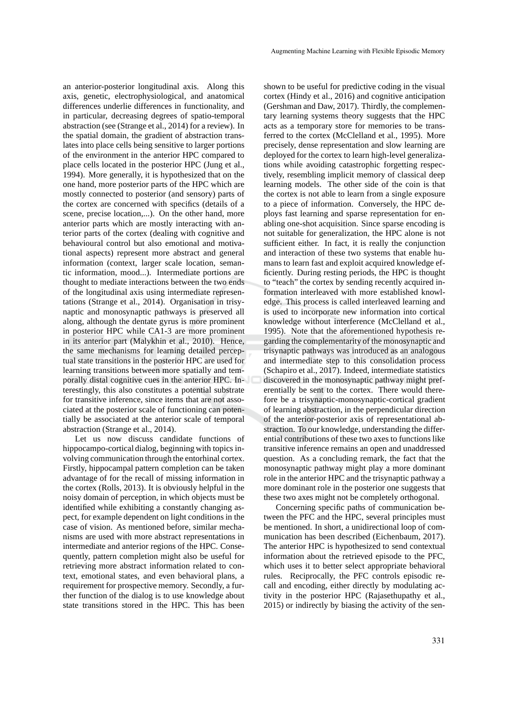an anterior-posterior longitudinal axis. Along this axis, genetic, electrophysiological, and anatomical differences underlie differences in functionality, and in particular, decreasing degrees of spatio-temporal abstraction (see (Strange et al., 2014) for a review). In the spatial domain, the gradient of abstraction translates into place cells being sensitive to larger portions of the environment in the anterior HPC compared to place cells located in the posterior HPC (Jung et al., 1994). More generally, it is hypothesized that on the one hand, more posterior parts of the HPC which are mostly connected to posterior (and sensory) parts of the cortex are concerned with specifics (details of a scene, precise location,...). On the other hand, more anterior parts which are mostly interacting with anterior parts of the cortex (dealing with cognitive and behavioural control but also emotional and motivational aspects) represent more abstract and general information (context, larger scale location, semantic information, mood...). Intermediate portions are thought to mediate interactions between the two ends of the longitudinal axis using intermediate representations (Strange et al., 2014). Organisation in trisynaptic and monosynaptic pathways is preserved all along, although the dentate gyrus is more prominent in posterior HPC while CA1-3 are more prominent in its anterior part (Malykhin et al., 2010). Hence, the same mechanisms for learning detailed perceptual state transitions in the posterior HPC are used for learning transitions between more spatially and temporally distal cognitive cues in the anterior HPC. Interestingly, this also constitutes a potential substrate for transitive inference, since items that are not associated at the posterior scale of functioning can potentially be associated at the anterior scale of temporal abstraction (Strange et al., 2014).

Let us now discuss candidate functions of hippocampo-cortical dialog, beginning with topics involving communication through the entorhinal cortex. Firstly, hippocampal pattern completion can be taken advantage of for the recall of missing information in the cortex (Rolls, 2013). It is obviously helpful in the noisy domain of perception, in which objects must be identified while exhibiting a constantly changing aspect, for example dependent on light conditions in the case of vision. As mentioned before, similar mechanisms are used with more abstract representations in intermediate and anterior regions of the HPC. Consequently, pattern completion might also be useful for retrieving more abstract information related to context, emotional states, and even behavioral plans, a requirement for prospective memory. Secondly, a further function of the dialog is to use knowledge about state transitions stored in the HPC. This has been

shown to be useful for predictive coding in the visual cortex (Hindy et al., 2016) and cognitive anticipation (Gershman and Daw, 2017). Thirdly, the complementary learning systems theory suggests that the HPC acts as a temporary store for memories to be transferred to the cortex (McClelland et al., 1995). More precisely, dense representation and slow learning are deployed for the cortex to learn high-level generalizations while avoiding catastrophic forgetting respectively, resembling implicit memory of classical deep learning models. The other side of the coin is that the cortex is not able to learn from a single exposure to a piece of information. Conversely, the HPC deploys fast learning and sparse representation for enabling one-shot acquisition. Since sparse encoding is not suitable for generalization, the HPC alone is not sufficient either. In fact, it is really the conjunction and interaction of these two systems that enable humans to learn fast and exploit acquired knowledge efficiently. During resting periods, the HPC is thought to "teach" the cortex by sending recently acquired information interleaved with more established knowledge. This process is called interleaved learning and is used to incorporate new information into cortical knowledge without interference (McClelland et al., 1995). Note that the aforementioned hypothesis regarding the complementarity of the monosynaptic and trisynaptic pathways was introduced as an analogous and intermediate step to this consolidation process (Schapiro et al., 2017). Indeed, intermediate statistics discovered in the monosynaptic pathway might preferentially be sent to the cortex. There would therefore be a trisynaptic-monosynaptic-cortical gradient of learning abstraction, in the perpendicular direction of the anterior-posterior axis of representational abstraction. To our knowledge, understanding the differential contributions of these two axes to functions like transitive inference remains an open and unaddressed question. As a concluding remark, the fact that the monosynaptic pathway might play a more dominant role in the anterior HPC and the trisynaptic pathway a more dominant role in the posterior one suggests that these two axes might not be completely orthogonal.

Concerning specific paths of communication between the PFC and the HPC, several principles must be mentioned. In short, a unidirectional loop of communication has been described (Eichenbaum, 2017). The anterior HPC is hypothesized to send contextual information about the retrieved episode to the PFC, which uses it to better select appropriate behavioral rules. Reciprocally, the PFC controls episodic recall and encoding, either directly by modulating activity in the posterior HPC (Rajasethupathy et al., 2015) or indirectly by biasing the activity of the sen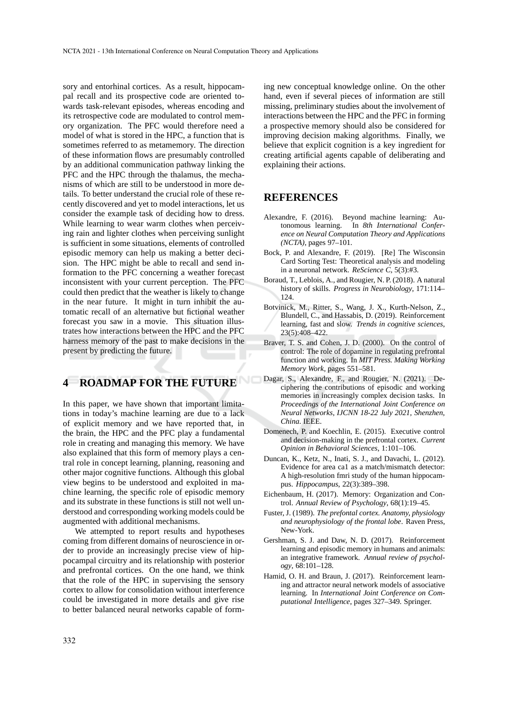sory and entorhinal cortices. As a result, hippocampal recall and its prospective code are oriented towards task-relevant episodes, whereas encoding and its retrospective code are modulated to control memory organization. The PFC would therefore need a model of what is stored in the HPC, a function that is sometimes referred to as metamemory. The direction of these information flows are presumably controlled by an additional communication pathway linking the PFC and the HPC through the thalamus, the mechanisms of which are still to be understood in more details. To better understand the crucial role of these recently discovered and yet to model interactions, let us consider the example task of deciding how to dress. While learning to wear warm clothes when perceiving rain and lighter clothes when perceiving sunlight is sufficient in some situations, elements of controlled episodic memory can help us making a better decision. The HPC might be able to recall and send information to the PFC concerning a weather forecast inconsistent with your current perception. The PFC could then predict that the weather is likely to change in the near future. It might in turn inhibit the automatic recall of an alternative but fictional weather forecast you saw in a movie. This situation illustrates how interactions between the HPC and the PFC harness memory of the past to make decisions in the present by predicting the future.

### **4 ROADMAP FOR THE FUTURE**

In this paper, we have shown that important limitations in today's machine learning are due to a lack of explicit memory and we have reported that, in the brain, the HPC and the PFC play a fundamental role in creating and managing this memory. We have also explained that this form of memory plays a central role in concept learning, planning, reasoning and other major cognitive functions. Although this global view begins to be understood and exploited in machine learning, the specific role of episodic memory and its substrate in these functions is still not well understood and corresponding working models could be augmented with additional mechanisms.

We attempted to report results and hypotheses coming from different domains of neuroscience in order to provide an increasingly precise view of hippocampal circuitry and its relationship with posterior and prefrontal cortices. On the one hand, we think that the role of the HPC in supervising the sensory cortex to allow for consolidation without interference could be investigated in more details and give rise to better balanced neural networks capable of forming new conceptual knowledge online. On the other hand, even if several pieces of information are still missing, preliminary studies about the involvement of interactions between the HPC and the PFC in forming a prospective memory should also be considered for improving decision making algorithms. Finally, we believe that explicit cognition is a key ingredient for creating artificial agents capable of deliberating and explaining their actions.

### **REFERENCES**

- Alexandre, F. (2016). Beyond machine learning: Autonomous learning. In *8th International Conference on Neural Computation Theory and Applications (NCTA)*, pages 97–101.
- Bock, P. and Alexandre, F. (2019). [Re] The Wisconsin Card Sorting Test: Theoretical analysis and modeling in a neuronal network. *ReScience C*, 5(3):#3.
- Boraud, T., Leblois, A., and Rougier, N. P. (2018). A natural history of skills. *Progress in Neurobiology*, 171:114– 124.
- Botvinick, M., Ritter, S., Wang, J. X., Kurth-Nelson, Z., Blundell, C., and Hassabis, D. (2019). Reinforcement learning, fast and slow. *Trends in cognitive sciences*, 23(5):408–422.
- Braver, T. S. and Cohen, J. D. (2000). On the control of control: The role of dopamine in regulating prefrontal function and working. In *MIT Press. Making Working Memory Work*, pages 551–581.
- Dagar, S., Alexandre, F., and Rougier, N. (2021). Deciphering the contributions of episodic and working memories in increasingly complex decision tasks. In *Proceedings of the International Joint Conference on Neural Networks, IJCNN 18-22 July 2021, Shenzhen, China*. IEEE.
- Domenech, P. and Koechlin, E. (2015). Executive control and decision-making in the prefrontal cortex. *Current Opinion in Behavioral Sciences*, 1:101–106.
- Duncan, K., Ketz, N., Inati, S. J., and Davachi, L. (2012). Evidence for area ca1 as a match/mismatch detector: A high-resolution fmri study of the human hippocampus. *Hippocampus*, 22(3):389–398.
- Eichenbaum, H. (2017). Memory: Organization and Control. *Annual Review of Psychology*, 68(1):19–45.
- Fuster, J. (1989). *The prefontal cortex. Anatomy, physiology and neurophysiology of the frontal lobe*. Raven Press, New-York.
- Gershman, S. J. and Daw, N. D. (2017). Reinforcement learning and episodic memory in humans and animals: an integrative framework. *Annual review of psychology*, 68:101–128.
- Hamid, O. H. and Braun, J. (2017). Reinforcement learning and attractor neural network models of associative learning. In *International Joint Conference on Computational Intelligence*, pages 327–349. Springer.